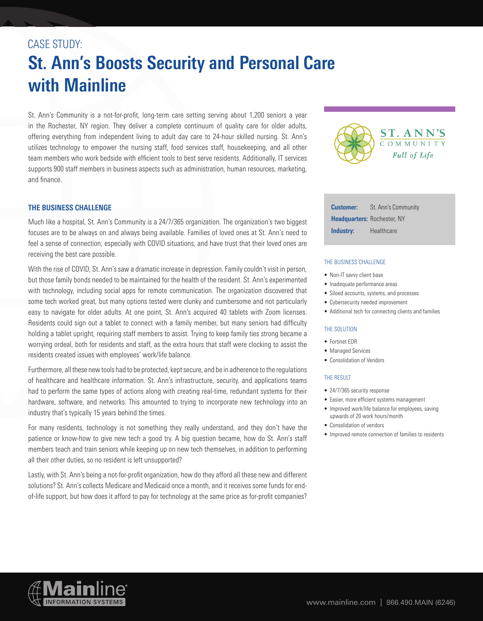# CASE STUDY: **St. Ann's Boosts Security and Personal Care with Mainline**

St. Ann's Community is a not-for-profit, long-term care setting serving about 1,200 seniors a year in the Rochester, NY region. They deliver a complete continuum of quality care for older adults, offering everything from independent living to adult day care to 24-hour skilled nursing. St. Ann's utilizes technology to empower the nursing staff, food services staff, housekeeping, and all other team members who work bedside with efficient tools to best serve residents. Additionally, IT services supports 900 staff members in business aspects such as administration, human resources, marketing, and finance.



Much like a hospital, St. Ann's Community is a 24/7/365 organization. The organization's two biggest focuses are to be always on and always being available. Families of loved ones at St. Ann's need to feel a sense of connection, especially with COVID situations, and have trust that their loved ones are receiving the best care possible.

With the rise of COVID, St. Ann's saw a dramatic increase in depression. Family couldn't visit in person, but those family bonds needed to be maintained for the health of the resident. St. Ann's experimented with technology, including social apps for remote communication. The organization discovered that some tech worked great, but many options tested were clunky and cumbersome and not particularly easy to navigate for older adults. At one point, St. Ann's acquired 40 tablets with Zoom licenses. Residents could sign out a tablet to connect with a family member, but many seniors had difficulty holding a tablet upright, requiring staff members to assist. Trying to keep family ties strong became a worrying ordeal, both for residents and staff, as the extra hours that staff were clocking to assist the residents created issues with employees' work/life balance.

Furthermore, all these new tools had to be protected, kept secure, and be in adherence to the regulations of healthcare and healthcare information. St. Ann's infrastructure, security, and applications teams had to perform the same types of actions along with creating real-time, redundant systems for their hardware, software, and networks. This amounted to trying to incorporate new technology into an industry that's typically 15 years behind the times.

For many residents, technology is not something they really understand, and they don't have the patience or know-how to give new tech a good try. A big question became, how do St. Ann's staff members teach and train seniors while keeping up on new tech themselves, in addition to performing all their other duties, so no resident is left unsupported?

Lastly, with St. Ann's being a not-for-profit organization, how do they afford all these new and different solutions? St. Ann's collects Medicare and Medicaid once a month, and it receives some funds for endof-life support, but how does it afford to pay for technology at the same price as for-profit companies?



| <b>Customer:</b>                   | St. Ann's Community |
|------------------------------------|---------------------|
| <b>Headquarters: Rochester, NY</b> |                     |
| Industry:                          | Healthcare          |

#### THE BUSINESS CHALLENGE

- Non-IT savvy client base
- Inadequate performance areas
- Siloed accounts, systems, and processes
- Cybersecurity needed improvement
- Additional tech for connecting clients and families

#### THE SOLUTION

- Fortinet EDR
- Managed Services
- Consolidation of Vendors

#### THE RESULT

- 24/7/365 security response
- Easier, more efficient systems management
- Improved work/life balance for employees, saving upwards of 20 work hours/month
- Consolidation of vendors
- Improved remote connection of families to residents